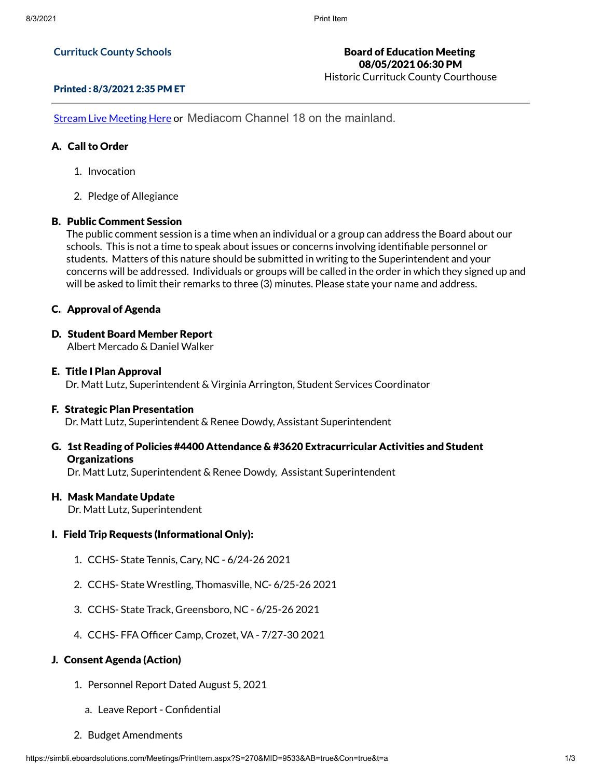## **Currituck County Schools**

## Printed : 8/3/2021 2:35 PM ET

**Stream Live [Meeting](http://currituckcountync.iqm2.com/Citizens/default.aspx) Here or Mediacom Channel 18 on the mainland.** 

## A. Call to Order

- 1. Invocation
- 2. Pledge of Allegiance

## B. Public Comment Session

The public comment session is a time when an individual or a group can address the Board about our schools. This is not a time to speak about issues or concerns involving identifiable personnel or students. Matters of this nature should be submitted in writing to the Superintendent and your concerns will be addressed. Individuals or groups will be called in the order in which they signed up and will be asked to limit their remarks to three (3) minutes. Please state your name and address.

## C. Approval of Agenda

D. Student Board Member Report

Albert Mercado & Daniel Walker

E. Title I Plan Approval Dr. Matt Lutz, Superintendent & Virginia Arrington, Student Services Coordinator

### F. Strategic Plan Presentation

Dr. Matt Lutz, Superintendent & Renee Dowdy, Assistant Superintendent

G. 1st Reading of Policies #4400 Attendance & #3620 Extracurricular Activities and Student **Organizations** 

Dr. Matt Lutz, Superintendent & Renee Dowdy, Assistant Superintendent

### H. Mask Mandate Update

Dr. Matt Lutz, Superintendent

### I. Field Trip Requests (Informational Only):

- 1. CCHS- State Tennis, Cary, NC 6/24-26 2021
- 2. CCHS- State Wrestling, Thomasville, NC- 6/25-26 2021
- 3. CCHS- State Track, Greensboro, NC 6/25-26 2021
- 4. CCHS- FFA Officer Camp, Crozet, VA 7/27-30 2021

# J. Consent Agenda (Action)

- 1. Personnel Report Dated August 5, 2021
	- a. Leave Report Confidential
- 2. Budget Amendments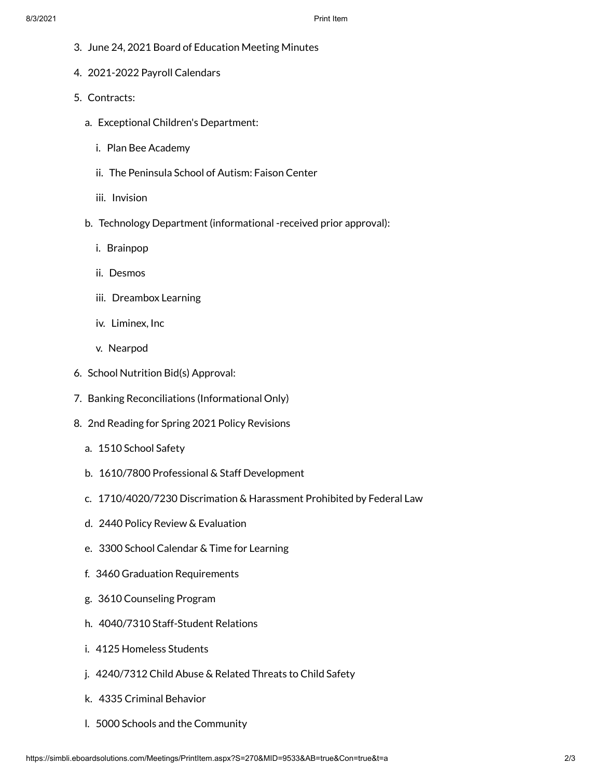- 3. June 24, 2021 Board of Education Meeting Minutes
- 4. 2021-2022 Payroll Calendars
- 5. Contracts:
	- a. Exceptional Children's Department:
		- i. Plan Bee Academy
		- ii. The Peninsula School of Autism: Faison Center
		- iii. Invision
	- b. Technology Department (informational -received prior approval):
		- i. Brainpop
		- ii. Desmos
		- iii. Dreambox Learning
		- iv. Liminex, Inc
		- v. Nearpod
- 6. School Nutrition Bid(s) Approval:
- 7. Banking Reconciliations (Informational Only)
- 8. 2nd Reading for Spring 2021 Policy Revisions
	- a. 1510 School Safety
	- b. 1610/7800 Professional & Staff Development
	- c. 1710/4020/7230 Discrimation & Harassment Prohibited by Federal Law
	- d. 2440 Policy Review & Evaluation
	- e. 3300 School Calendar & Time for Learning
	- f. 3460 Graduation Requirements
	- g. 3610 Counseling Program
	- h. 4040/7310 Staff-Student Relations
	- i. 4125 Homeless Students
	- j. 4240/7312 Child Abuse & Related Threats to Child Safety
	- k. 4335 Criminal Behavior
	- l. 5000 Schools and the Community